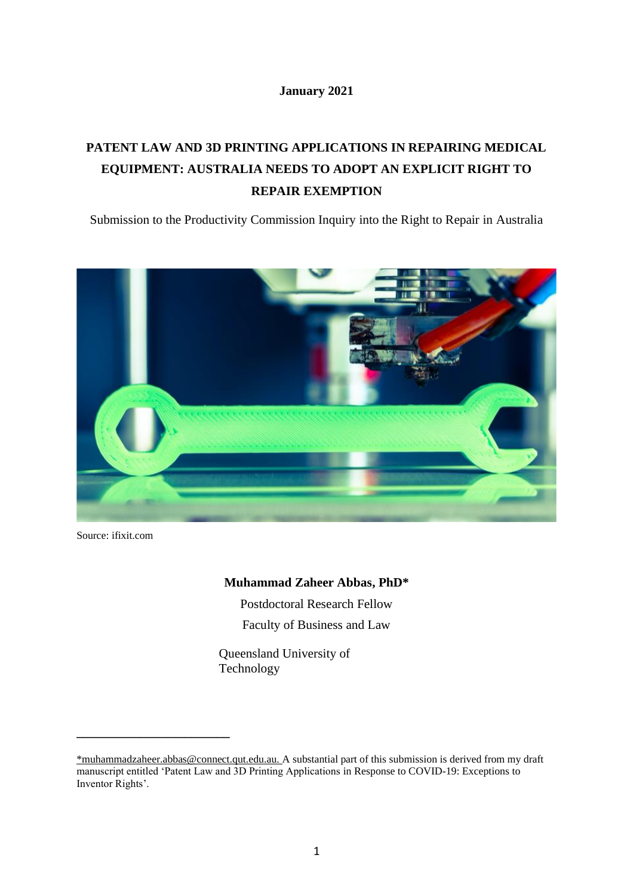# **January 2021**

# **PATENT LAW AND 3D PRINTING APPLICATIONS IN REPAIRING MEDICAL EQUIPMENT: AUSTRALIA NEEDS TO ADOPT AN EXPLICIT RIGHT TO REPAIR EXEMPTION**

Submission to the Productivity Commission Inquiry into the Right to Repair in Australia



Source: ifixit.com

**\_\_\_\_\_\_\_\_\_\_\_\_\_\_\_\_\_\_\_\_\_\_\_\_**

# **Muhammad Zaheer Abbas, PhD\***

Postdoctoral Research Fellow Faculty of Business and Law

Queensland University of Technology

[<sup>\\*</sup>muhammadzaheer.abbas@connect.qut.edu.au.](mailto:*muhammadzaheer.abbas@connect.qut.edu.au.) A substantial part of this submission is derived from my draft manuscript entitled 'Patent Law and 3D Printing Applications in Response to COVID-19: Exceptions to Inventor Rights'.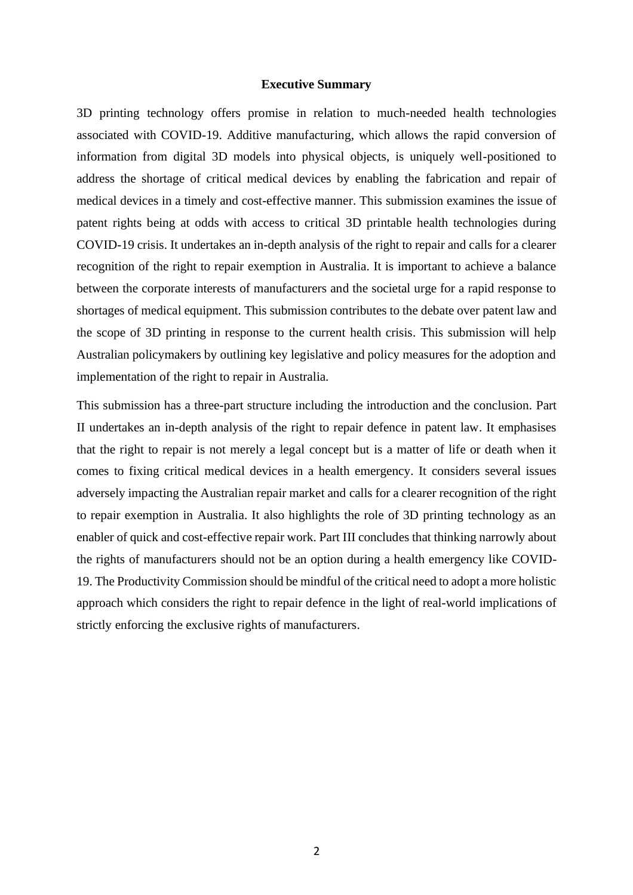### **Executive Summary**

3D printing technology offers promise in relation to much-needed health technologies associated with COVID-19. Additive manufacturing, which allows the rapid conversion of information from digital 3D models into physical objects, is uniquely well-positioned to address the shortage of critical medical devices by enabling the fabrication and repair of medical devices in a timely and cost-effective manner. This submission examines the issue of patent rights being at odds with access to critical 3D printable health technologies during COVID-19 crisis. It undertakes an in-depth analysis of the right to repair and calls for a clearer recognition of the right to repair exemption in Australia. It is important to achieve a balance between the corporate interests of manufacturers and the societal urge for a rapid response to shortages of medical equipment. This submission contributes to the debate over patent law and the scope of 3D printing in response to the current health crisis. This submission will help Australian policymakers by outlining key legislative and policy measures for the adoption and implementation of the right to repair in Australia.

This submission has a three-part structure including the introduction and the conclusion. Part II undertakes an in-depth analysis of the right to repair defence in patent law. It emphasises that the right to repair is not merely a legal concept but is a matter of life or death when it comes to fixing critical medical devices in a health emergency. It considers several issues adversely impacting the Australian repair market and calls for a clearer recognition of the right to repair exemption in Australia. It also highlights the role of 3D printing technology as an enabler of quick and cost-effective repair work. Part III concludes that thinking narrowly about the rights of manufacturers should not be an option during a health emergency like COVID-19. The Productivity Commission should be mindful of the critical need to adopt a more holistic approach which considers the right to repair defence in the light of real-world implications of strictly enforcing the exclusive rights of manufacturers.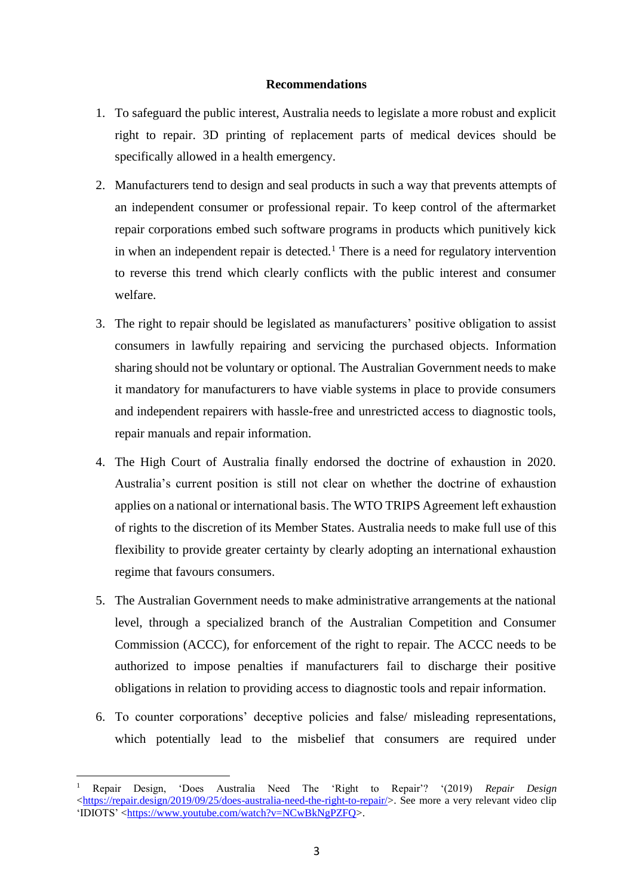# **Recommendations**

- 1. To safeguard the public interest, Australia needs to legislate a more robust and explicit right to repair. 3D printing of replacement parts of medical devices should be specifically allowed in a health emergency.
- 2. Manufacturers tend to design and seal products in such a way that prevents attempts of an independent consumer or professional repair. To keep control of the aftermarket repair corporations embed such software programs in products which punitively kick in when an independent repair is detected.<sup>1</sup> There is a need for regulatory intervention to reverse this trend which clearly conflicts with the public interest and consumer welfare.
- 3. The right to repair should be legislated as manufacturers' positive obligation to assist consumers in lawfully repairing and servicing the purchased objects. Information sharing should not be voluntary or optional. The Australian Government needs to make it mandatory for manufacturers to have viable systems in place to provide consumers and independent repairers with hassle-free and unrestricted access to diagnostic tools, repair manuals and repair information.
- 4. The High Court of Australia finally endorsed the doctrine of exhaustion in 2020. Australia's current position is still not clear on whether the doctrine of exhaustion applies on a national or international basis. The WTO TRIPS Agreement left exhaustion of rights to the discretion of its Member States. Australia needs to make full use of this flexibility to provide greater certainty by clearly adopting an international exhaustion regime that favours consumers.
- 5. The Australian Government needs to make administrative arrangements at the national level, through a specialized branch of the Australian Competition and Consumer Commission (ACCC), for enforcement of the right to repair. The ACCC needs to be authorized to impose penalties if manufacturers fail to discharge their positive obligations in relation to providing access to diagnostic tools and repair information.
- 6. To counter corporations' deceptive policies and false/ misleading representations, which potentially lead to the misbelief that consumers are required under

<sup>1</sup> Repair Design, 'Does Australia Need The 'Right to Repair'? '(2019) *Repair Design* [<https://repair.design/2019/09/25/does-australia-need-the-right-to-repair/>](https://repair.design/2019/09/25/does-australia-need-the-right-to-repair/). See more a very relevant video clip 'IDIOTS' [<https://www.youtube.com/watch?v=NCwBkNgPZFQ>](https://www.youtube.com/watch?v=NCwBkNgPZFQ).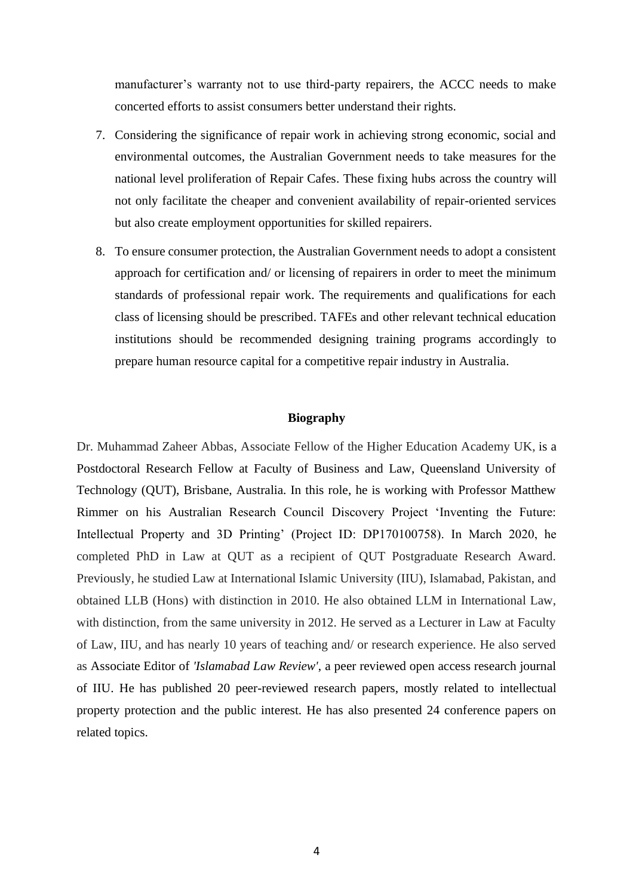manufacturer's warranty not to use third-party repairers, the ACCC needs to make concerted efforts to assist consumers better understand their rights.

- 7. Considering the significance of repair work in achieving strong economic, social and environmental outcomes, the Australian Government needs to take measures for the national level proliferation of Repair Cafes. These fixing hubs across the country will not only facilitate the cheaper and convenient availability of repair-oriented services but also create employment opportunities for skilled repairers.
- 8. To ensure consumer protection, the Australian Government needs to adopt a consistent approach for certification and/ or licensing of repairers in order to meet the minimum standards of professional repair work. The requirements and qualifications for each class of licensing should be prescribed. TAFEs and other relevant technical education institutions should be recommended designing training programs accordingly to prepare human resource capital for a competitive repair industry in Australia.

#### **Biography**

Dr. Muhammad Zaheer Abbas, Associate Fellow of the Higher Education Academy UK, is a Postdoctoral Research Fellow at Faculty of Business and Law, Queensland University of Technology (QUT), Brisbane, Australia. In this role, he is working with Professor Matthew Rimmer on his Australian Research Council Discovery Project 'Inventing the Future: Intellectual Property and 3D Printing' (Project ID: DP170100758). In March 2020, he completed PhD in Law at QUT as a recipient of QUT Postgraduate Research Award. Previously, he studied Law at International Islamic University (IIU), Islamabad, Pakistan, and obtained LLB (Hons) with distinction in 2010. He also obtained LLM in International Law, with distinction, from the same university in 2012. He served as a Lecturer in Law at Faculty of Law, IIU, and has nearly 10 years of teaching and/ or research experience. He also served as Associate Editor of *'Islamabad Law Review'*, a peer reviewed open access research journal of IIU. He has published 20 peer-reviewed research papers, mostly related to intellectual property protection and the public interest. He has also presented 24 conference papers on related topics.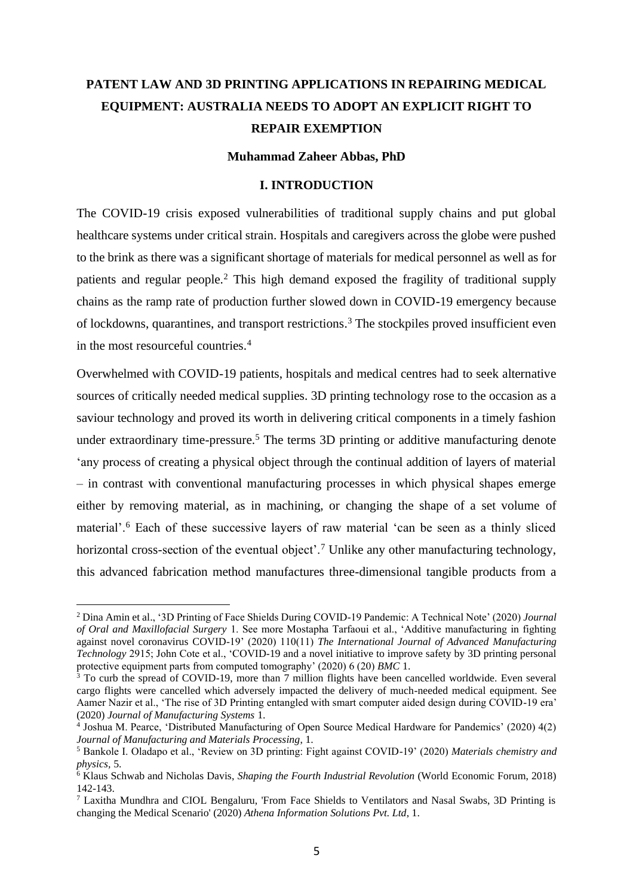# **PATENT LAW AND 3D PRINTING APPLICATIONS IN REPAIRING MEDICAL EQUIPMENT: AUSTRALIA NEEDS TO ADOPT AN EXPLICIT RIGHT TO REPAIR EXEMPTION**

# **Muhammad Zaheer Abbas, PhD**

#### **I. INTRODUCTION**

The COVID-19 crisis exposed vulnerabilities of traditional supply chains and put global healthcare systems under critical strain. Hospitals and caregivers across the globe were pushed to the brink as there was a significant shortage of materials for medical personnel as well as for patients and regular people.<sup>2</sup> This high demand exposed the fragility of traditional supply chains as the ramp rate of production further slowed down in COVID-19 emergency because of lockdowns, quarantines, and transport restrictions. <sup>3</sup> The stockpiles proved insufficient even in the most resourceful countries.<sup>4</sup>

Overwhelmed with COVID-19 patients, hospitals and medical centres had to seek alternative sources of critically needed medical supplies. 3D printing technology rose to the occasion as a saviour technology and proved its worth in delivering critical components in a timely fashion under extraordinary time-pressure.<sup>5</sup> The terms 3D printing or additive manufacturing denote 'any process of creating a physical object through the continual addition of layers of material – in contrast with conventional manufacturing processes in which physical shapes emerge either by removing material, as in machining, or changing the shape of a set volume of material'.<sup>6</sup> Each of these successive layers of raw material 'can be seen as a thinly sliced horizontal cross-section of the eventual object'.<sup>7</sup> Unlike any other manufacturing technology, this advanced fabrication method manufactures three-dimensional tangible products from a

<sup>2</sup> Dina Amin et al., '3D Printing of Face Shields During COVID-19 Pandemic: A Technical Note' (2020) *Journal of Oral and Maxillofacial Surgery* 1. See more Mostapha Tarfaoui et al., 'Additive manufacturing in fighting against novel coronavirus COVID-19' (2020) 110(11) *The International Journal of Advanced Manufacturing Technology* 2915; John Cote et al., 'COVID-19 and a novel initiative to improve safety by 3D printing personal protective equipment parts from computed tomography' (2020) 6 (20) *BMC* 1.

<sup>&</sup>lt;sup>3</sup> To curb the spread of COVID-19, more than 7 million flights have been cancelled worldwide. Even several cargo flights were cancelled which adversely impacted the delivery of much-needed medical equipment. See Aamer Nazir et al., 'The rise of 3D Printing entangled with smart computer aided design during COVID-19 era' (2020) *Journal of Manufacturing Systems* 1.

<sup>4</sup> Joshua M. Pearce, 'Distributed Manufacturing of Open Source Medical Hardware for Pandemics' (2020) 4(2) *Journal of Manufacturing and Materials Processing*, 1.

<sup>5</sup> Bankole I. Oladapo et al., 'Review on 3D printing: Fight against COVID-19' (2020) *Materials chemistry and physics,* 5.

<sup>6</sup> Klaus Schwab and Nicholas Davis, *Shaping the Fourth Industrial Revolution* (World Economic Forum, 2018) 142-143.

<sup>7</sup> Laxitha Mundhra and CIOL Bengaluru, 'From Face Shields to Ventilators and Nasal Swabs, 3D Printing is changing the Medical Scenario' (2020) *Athena Information Solutions Pvt. Ltd*, 1.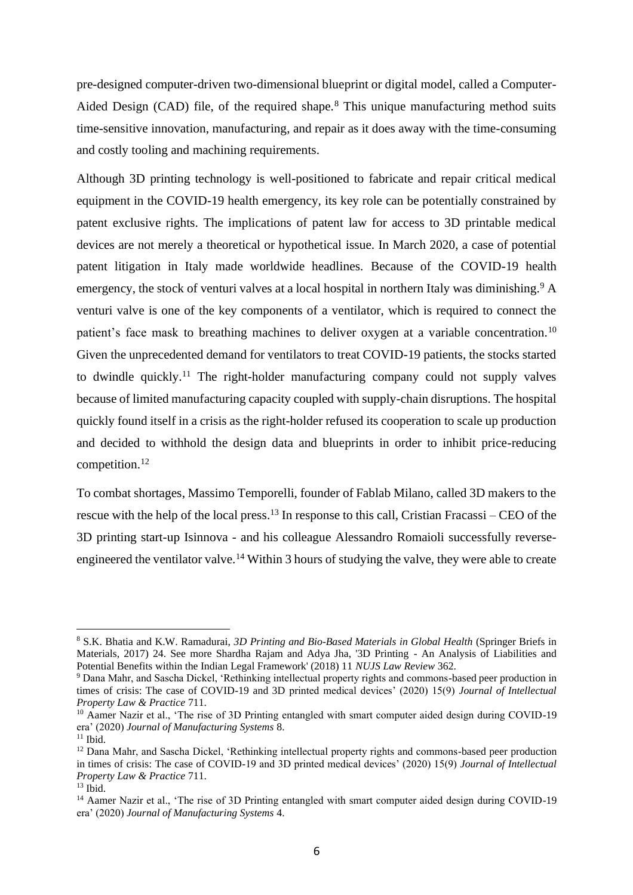pre-designed computer-driven two-dimensional blueprint or digital model, called a Computer-Aided Design (CAD) file, of the required shape.<sup>8</sup> This unique manufacturing method suits time-sensitive innovation, manufacturing, and repair as it does away with the time-consuming and costly tooling and machining requirements.

Although 3D printing technology is well-positioned to fabricate and repair critical medical equipment in the COVID-19 health emergency, its key role can be potentially constrained by patent exclusive rights. The implications of patent law for access to 3D printable medical devices are not merely a theoretical or hypothetical issue. In March 2020, a case of potential patent litigation in Italy made worldwide headlines. Because of the COVID-19 health emergency, the stock of venturi valves at a local hospital in northern Italy was diminishing.<sup>9</sup> A venturi valve is one of the key components of a ventilator, which is required to connect the patient's face mask to breathing machines to deliver oxygen at a variable concentration.<sup>10</sup> Given the unprecedented demand for ventilators to treat COVID-19 patients, the stocks started to dwindle quickly.<sup>11</sup> The right-holder manufacturing company could not supply valves because of limited manufacturing capacity coupled with supply-chain disruptions. The hospital quickly found itself in a crisis as the right-holder refused its cooperation to scale up production and decided to withhold the design data and blueprints in order to inhibit price-reducing competition.<sup>12</sup>

To combat shortages, Massimo Temporelli, founder of Fablab Milano, called 3D makers to the rescue with the help of the local press.<sup>13</sup> In response to this call, Cristian Fracassi – CEO of the 3D printing start-up Isinnova - and his colleague Alessandro Romaioli successfully reverseengineered the ventilator valve.<sup>14</sup> Within 3 hours of studying the valve, they were able to create

<sup>8</sup> S.K. Bhatia and K.W. Ramadurai, *3D Printing and Bio-Based Materials in Global Health* (Springer Briefs in Materials, 2017) 24. See more Shardha Rajam and Adya Jha, '3D Printing - An Analysis of Liabilities and Potential Benefits within the Indian Legal Framework' (2018) 11 *NUJS Law Review* 362.

<sup>9</sup> Dana Mahr, and Sascha Dickel, 'Rethinking intellectual property rights and commons-based peer production in times of crisis: The case of COVID-19 and 3D printed medical devices' (2020) 15(9) *Journal of Intellectual Property Law & Practice* 711.

<sup>&</sup>lt;sup>10</sup> Aamer Nazir et al., 'The rise of 3D Printing entangled with smart computer aided design during COVID-19 era' (2020) *Journal of Manufacturing Systems* 8.

 $11$  Ibid.

<sup>12</sup> Dana Mahr, and Sascha Dickel, 'Rethinking intellectual property rights and commons-based peer production in times of crisis: The case of COVID-19 and 3D printed medical devices' (2020) 15(9) *Journal of Intellectual Property Law & Practice* 711.

 $13$  Ibid.

<sup>&</sup>lt;sup>14</sup> Aamer Nazir et al., 'The rise of 3D Printing entangled with smart computer aided design during COVID-19 era' (2020) *Journal of Manufacturing Systems* 4.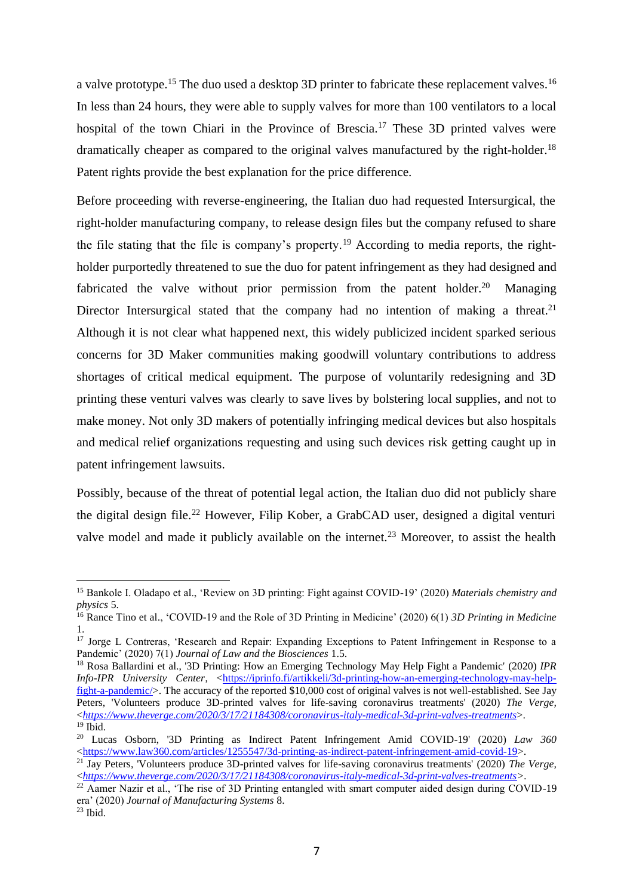a valve prototype.<sup>15</sup> The duo used a desktop 3D printer to fabricate these replacement valves.<sup>16</sup> In less than 24 hours, they were able to supply valves for more than 100 ventilators to a local hospital of the town Chiari in the Province of Brescia.<sup>17</sup> These 3D printed valves were dramatically cheaper as compared to the original valves manufactured by the right-holder.<sup>18</sup> Patent rights provide the best explanation for the price difference.

Before proceeding with reverse-engineering, the Italian duo had requested Intersurgical, the right-holder manufacturing company, to release design files but the company refused to share the file stating that the file is company's property.<sup>19</sup> According to media reports, the rightholder purportedly threatened to sue the duo for patent infringement as they had designed and fabricated the valve without prior permission from the patent holder.<sup>20</sup> Managing Director Intersurgical stated that the company had no intention of making a threat.<sup>21</sup> Although it is not clear what happened next, this widely publicized incident sparked serious concerns for 3D Maker communities making goodwill voluntary contributions to address shortages of critical medical equipment. The purpose of voluntarily redesigning and 3D printing these venturi valves was clearly to save lives by bolstering local supplies, and not to make money. Not only 3D makers of potentially infringing medical devices but also hospitals and medical relief organizations requesting and using such devices risk getting caught up in patent infringement lawsuits.

Possibly, because of the threat of potential legal action, the Italian duo did not publicly share the digital design file.<sup>22</sup> However, Filip Kober, a GrabCAD user, designed a digital venturi valve model and made it publicly available on the internet.<sup>23</sup> Moreover, to assist the health

<sup>15</sup> Bankole I. Oladapo et al., 'Review on 3D printing: Fight against COVID-19' (2020) *Materials chemistry and physics* 5.

<sup>16</sup> Rance Tino et al., 'COVID-19 and the Role of 3D Printing in Medicine' (2020) 6(1) *3D Printing in Medicine* 1.

<sup>&</sup>lt;sup>17</sup> Jorge L Contreras, 'Research and Repair: Expanding Exceptions to Patent Infringement in Response to a Pandemic' (2020) 7(1) *Journal of Law and the Biosciences* 1.5.

<sup>18</sup> Rosa Ballardini et al., '3D Printing: How an Emerging Technology May Help Fight a Pandemic' (2020) *IPR Info-IPR University Center, [<https://iprinfo.fi/artikkeli/3d-printing-how-an-emerging-technology-may-help](https://iprinfo.fi/artikkeli/3d-printing-how-an-emerging-technology-may-help-fight-a-pandemic/)*[fight-a-pandemic/>](https://iprinfo.fi/artikkeli/3d-printing-how-an-emerging-technology-may-help-fight-a-pandemic/). The accuracy of the reported \$10,000 cost of original valves is not well-established. See Jay Peters, 'Volunteers produce 3D-printed valves for life-saving coronavirus treatments' (2020) *The Verge,*  <*<https://www.theverge.com/2020/3/17/21184308/coronavirus-italy-medical-3d-print-valves-treatments>*>.  $19$  Ibid.

<sup>20</sup> Lucas Osborn, '3D Printing as Indirect Patent Infringement Amid COVID-19' (2020) *Law 360* [<https://www.law360.com/articles/1255547/3d-printing-as-indirect-patent-infringement-amid-covid-19>](https://www.law360.com/articles/1255547/3d-printing-as-indirect-patent-infringement-amid-covid-19).

<sup>21</sup> Jay Peters, 'Volunteers produce 3D-printed valves for life-saving coronavirus treatments' (2020) *The Verge,*  <*[https://www.theverge.com/2020/3/17/21184308/coronavirus-italy-medical-3d-print-valves-treatments>](https://www.theverge.com/2020/3/17/21184308/coronavirus-italy-medical-3d-print-valves-treatments).*

<sup>&</sup>lt;sup>22</sup> Aamer Nazir et al., 'The rise of 3D Printing entangled with smart computer aided design during COVID-19 era' (2020) *Journal of Manufacturing Systems* 8.

 $^{23}$  Ibid.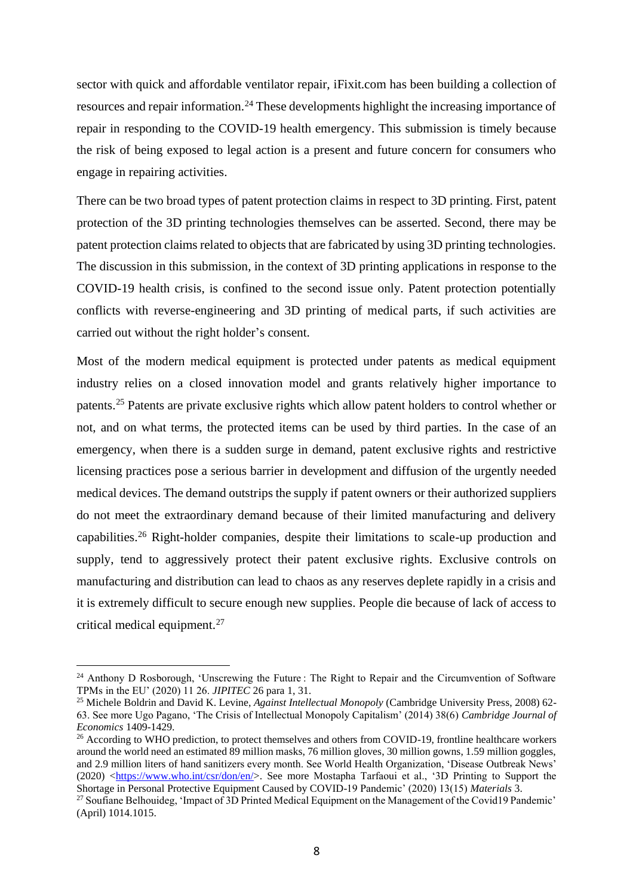sector with quick and affordable ventilator repair, iFixit.com has been building a collection of resources and repair information.<sup>24</sup> These developments highlight the increasing importance of repair in responding to the COVID-19 health emergency. This submission is timely because the risk of being exposed to legal action is a present and future concern for consumers who engage in repairing activities.

There can be two broad types of patent protection claims in respect to 3D printing. First, patent protection of the 3D printing technologies themselves can be asserted. Second, there may be patent protection claims related to objects that are fabricated by using 3D printing technologies. The discussion in this submission, in the context of 3D printing applications in response to the COVID-19 health crisis, is confined to the second issue only. Patent protection potentially conflicts with reverse-engineering and 3D printing of medical parts, if such activities are carried out without the right holder's consent.

Most of the modern medical equipment is protected under patents as medical equipment industry relies on a closed innovation model and grants relatively higher importance to patents.<sup>25</sup> Patents are private exclusive rights which allow patent holders to control whether or not, and on what terms, the protected items can be used by third parties. In the case of an emergency, when there is a sudden surge in demand, patent exclusive rights and restrictive licensing practices pose a serious barrier in development and diffusion of the urgently needed medical devices. The demand outstrips the supply if patent owners or their authorized suppliers do not meet the extraordinary demand because of their limited manufacturing and delivery capabilities.<sup>26</sup> Right-holder companies, despite their limitations to scale-up production and supply, tend to aggressively protect their patent exclusive rights. Exclusive controls on manufacturing and distribution can lead to chaos as any reserves deplete rapidly in a crisis and it is extremely difficult to secure enough new supplies. People die because of lack of access to critical medical equipment.<sup>27</sup>

<sup>&</sup>lt;sup>24</sup> Anthony D Rosborough, 'Unscrewing the Future : The Right to Repair and the Circumvention of Software TPMs in the EU' (2020) 11 26. *JIPITEC* 26 para 1, 31.

<sup>25</sup> Michele Boldrin and David K. Levine, *Against Intellectual Monopoly* (Cambridge University Press, 2008) 62- 63. See more Ugo Pagano, 'The Crisis of Intellectual Monopoly Capitalism' (2014) 38(6) *Cambridge Journal of Economics* 1409-1429.

<sup>&</sup>lt;sup>26</sup> According to WHO prediction, to protect themselves and others from COVID-19, frontline healthcare workers around the world need an estimated 89 million masks, 76 million gloves, 30 million gowns, 1.59 million goggles, and 2.9 million liters of hand sanitizers every month. See World Health Organization, 'Disease Outbreak News' (2020) [<https://www.who.int/csr/don/en/>](https://www.who.int/csr/don/en/). See more Mostapha Tarfaoui et al., '3D Printing to Support the Shortage in Personal Protective Equipment Caused by COVID-19 Pandemic' (2020) 13(15) *Materials* 3.

<sup>&</sup>lt;sup>27</sup> Soufiane Belhouideg, 'Impact of 3D Printed Medical Equipment on the Management of the Covid19 Pandemic' (April) 1014.1015.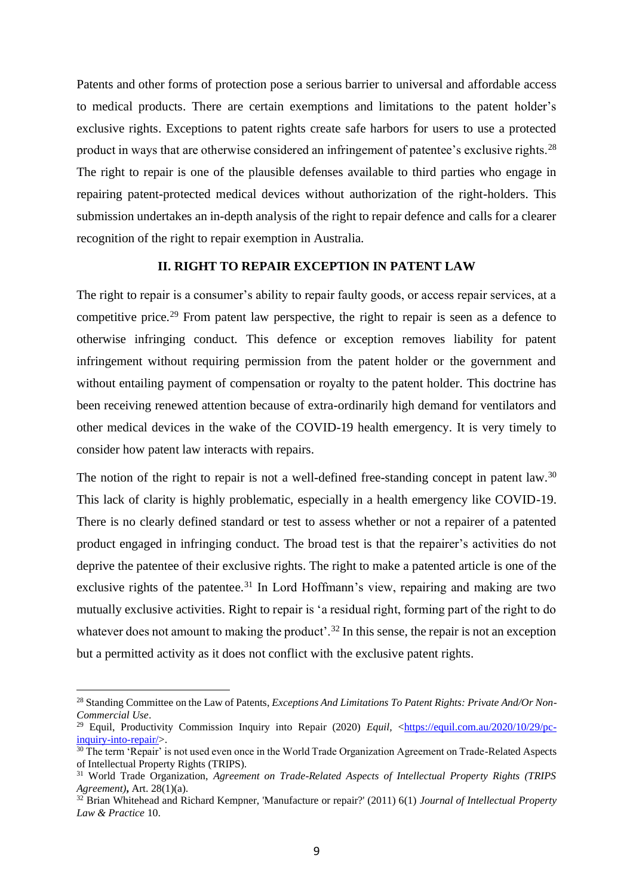Patents and other forms of protection pose a serious barrier to universal and affordable access to medical products. There are certain exemptions and limitations to the patent holder's exclusive rights. Exceptions to patent rights create safe harbors for users to use a protected product in ways that are otherwise considered an infringement of patentee's exclusive rights.<sup>28</sup> The right to repair is one of the plausible defenses available to third parties who engage in repairing patent-protected medical devices without authorization of the right-holders. This submission undertakes an in-depth analysis of the right to repair defence and calls for a clearer recognition of the right to repair exemption in Australia.

# **II. RIGHT TO REPAIR EXCEPTION IN PATENT LAW**

The right to repair is a consumer's ability to repair faulty goods, or access repair services, at a competitive price.<sup>29</sup> From patent law perspective, the right to repair is seen as a defence to otherwise infringing conduct. This defence or exception removes liability for patent infringement without requiring permission from the patent holder or the government and without entailing payment of compensation or royalty to the patent holder. This doctrine has been receiving renewed attention because of extra-ordinarily high demand for ventilators and other medical devices in the wake of the COVID-19 health emergency. It is very timely to consider how patent law interacts with repairs.

The notion of the right to repair is not a well-defined free-standing concept in patent law.<sup>30</sup> This lack of clarity is highly problematic, especially in a health emergency like COVID-19. There is no clearly defined standard or test to assess whether or not a repairer of a patented product engaged in infringing conduct. The broad test is that the repairer's activities do not deprive the patentee of their exclusive rights. The right to make a patented article is one of the exclusive rights of the patentee.<sup>31</sup> In Lord Hoffmann's view, repairing and making are two mutually exclusive activities. Right to repair is 'a residual right, forming part of the right to do whatever does not amount to making the product'.<sup>32</sup> In this sense, the repair is not an exception but a permitted activity as it does not conflict with the exclusive patent rights.

<sup>28</sup> Standing Committee on the Law of Patents, *Exceptions And Limitations To Patent Rights: Private And/Or Non-Commercial Use*.

<sup>&</sup>lt;sup>29</sup> Equil, Productivity Commission Inquiry into Repair (2020) *Equil,* [<https://equil.com.au/2020/10/29/pc](https://equil.com.au/2020/10/29/pc-inquiry-into-repair/)[inquiry-into-repair/>](https://equil.com.au/2020/10/29/pc-inquiry-into-repair/).

<sup>&</sup>lt;sup>30</sup> The term 'Repair' is not used even once in the World Trade Organization Agreement on Trade-Related Aspects of Intellectual Property Rights (TRIPS).

<sup>31</sup> World Trade Organization, *Agreement on Trade-Related Aspects of Intellectual Property Rights (TRIPS Agreement)***,** Art. 28(1)(a).

<sup>32</sup> Brian Whitehead and Richard Kempner, 'Manufacture or repair?' (2011) 6(1) *Journal of Intellectual Property Law & Practice* 10.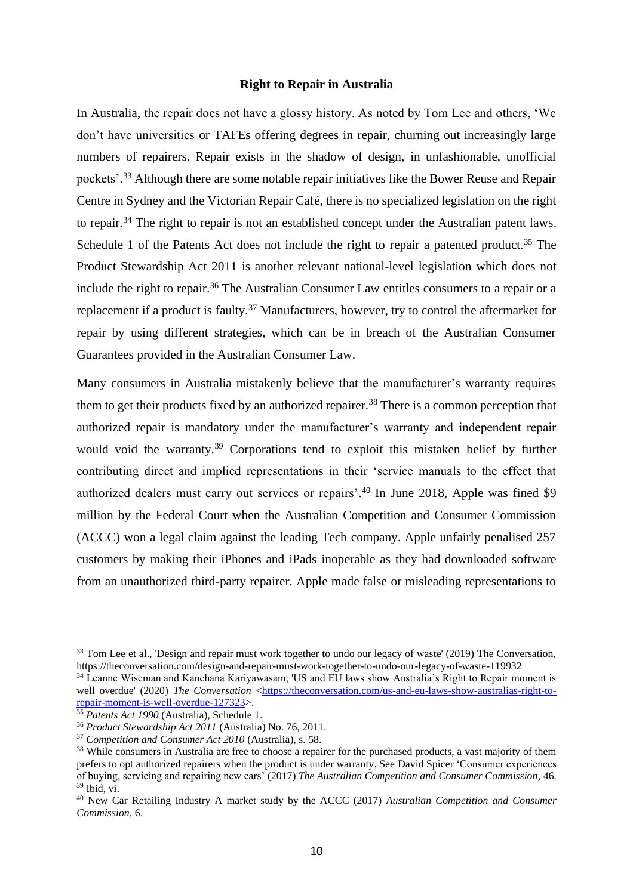## **Right to Repair in Australia**

In Australia, the repair does not have a glossy history. As noted by Tom Lee and others, 'We don't have universities or TAFEs offering degrees in repair, churning out increasingly large numbers of repairers. Repair exists in the shadow of design, in unfashionable, unofficial pockets'.<sup>33</sup> Although there are some notable repair initiatives like the Bower Reuse and Repair Centre in Sydney and the Victorian Repair Café, there is no specialized legislation on the right to repair.<sup>34</sup> The right to repair is not an established concept under the Australian patent laws. Schedule 1 of the Patents Act does not include the right to repair a patented product.<sup>35</sup> The Product Stewardship Act 2011 is another relevant national-level legislation which does not include the right to repair.<sup>36</sup> The Australian Consumer Law entitles consumers to a repair or a replacement if a product is faulty.<sup>37</sup> Manufacturers, however, try to control the aftermarket for repair by using different strategies, which can be in breach of the Australian Consumer Guarantees provided in the Australian Consumer Law.

Many consumers in Australia mistakenly believe that the manufacturer's warranty requires them to get their products fixed by an authorized repairer.<sup>38</sup> There is a common perception that authorized repair is mandatory under the manufacturer's warranty and independent repair would void the warranty.<sup>39</sup> Corporations tend to exploit this mistaken belief by further contributing direct and implied representations in their 'service manuals to the effect that authorized dealers must carry out services or repairs'. <sup>40</sup> In June 2018, Apple was fined \$9 million by the Federal Court when the Australian Competition and Consumer Commission (ACCC) won a legal claim against the leading Tech company. Apple unfairly penalised 257 customers by making their iPhones and iPads inoperable as they had downloaded software from an unauthorized third-party repairer. Apple made false or misleading representations to

<sup>&</sup>lt;sup>33</sup> Tom Lee et al., 'Design and repair must work together to undo our legacy of waste' (2019) The Conversation, https://theconversation.com/design-and-repair-must-work-together-to-undo-our-legacy-of-waste-119932

<sup>34</sup> Leanne Wiseman and Kanchana Kariyawasam, 'US and EU laws show Australia's Right to Repair moment is well overdue' (2020) *The Conversation* [<https://theconversation.com/us-and-eu-laws-show-australias-right-to](https://theconversation.com/us-and-eu-laws-show-australias-right-to-repair-moment-is-well-overdue-127323)[repair-moment-is-well-overdue-127323>](https://theconversation.com/us-and-eu-laws-show-australias-right-to-repair-moment-is-well-overdue-127323).

<sup>35</sup> *Patents Act 1990* (Australia), Schedule 1.

<sup>36</sup> *Product Stewardship Act 2011* (Australia) No. 76, 2011.

<sup>37</sup> *Competition and Consumer Act 2010* (Australia), s. 58.

<sup>&</sup>lt;sup>38</sup> While consumers in Australia are free to choose a repairer for the purchased products, a vast majority of them prefers to opt authorized repairers when the product is under warranty. See David Spicer 'Consumer experiences of buying, servicing and repairing new cars' (2017) *The Australian Competition and Consumer Commission,* 46.  $39$  Ibid, vi.

<sup>40</sup> New Car Retailing Industry A market study by the ACCC (2017) *Australian Competition and Consumer Commission,* 6.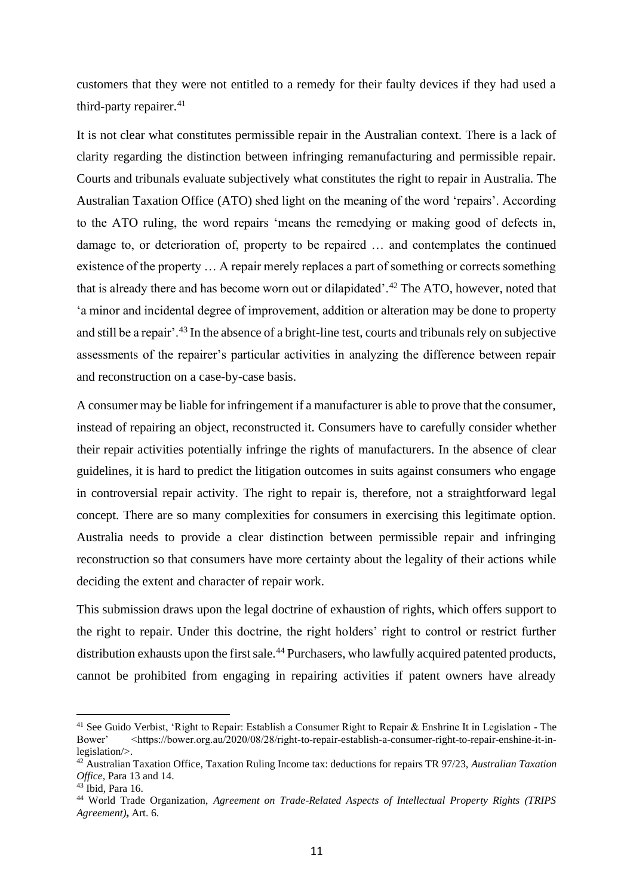customers that they were not entitled to a remedy for their faulty devices if they had used a third-party repairer.<sup>41</sup>

It is not clear what constitutes permissible repair in the Australian context. There is a lack of clarity regarding the distinction between infringing remanufacturing and permissible repair. Courts and tribunals evaluate subjectively what constitutes the right to repair in Australia. The Australian Taxation Office (ATO) shed light on the meaning of the word 'repairs'. According to the ATO ruling, the word repairs 'means the remedying or making good of defects in, damage to, or deterioration of, property to be repaired … and contemplates the continued existence of the property … A repair merely replaces a part of something or corrects something that is already there and has become worn out or dilapidated'.<sup>42</sup> The ATO, however, noted that 'a minor and incidental degree of improvement, addition or alteration may be done to property and still be a repair'.<sup>43</sup> In the absence of a bright-line test, courts and tribunals rely on subjective assessments of the repairer's particular activities in analyzing the difference between repair and reconstruction on a case-by-case basis.

A consumer may be liable for infringement if a manufacturer is able to prove that the consumer, instead of repairing an object, reconstructed it. Consumers have to carefully consider whether their repair activities potentially infringe the rights of manufacturers. In the absence of clear guidelines, it is hard to predict the litigation outcomes in suits against consumers who engage in controversial repair activity. The right to repair is, therefore, not a straightforward legal concept. There are so many complexities for consumers in exercising this legitimate option. Australia needs to provide a clear distinction between permissible repair and infringing reconstruction so that consumers have more certainty about the legality of their actions while deciding the extent and character of repair work.

This submission draws upon the legal doctrine of exhaustion of rights, which offers support to the right to repair. Under this doctrine, the right holders' right to control or restrict further distribution exhausts upon the first sale.<sup>44</sup> Purchasers, who lawfully acquired patented products, cannot be prohibited from engaging in repairing activities if patent owners have already

<sup>&</sup>lt;sup>41</sup> See Guido Verbist, 'Right to Repair: Establish a Consumer Right to Repair & Enshrine It in Legislation - The Bower' <https://bower.org.au/2020/08/28/right-to-repair-establish-a-consumer-right-to-repair-enshine-it-inlegislation/>.

<sup>42</sup> Australian Taxation Office, Taxation Ruling Income tax: deductions for repairs TR 97/23, *Australian Taxation Office,* Para 13 and 14.

 $43$  Ibid, Para 16.

<sup>44</sup> World Trade Organization, *Agreement on Trade-Related Aspects of Intellectual Property Rights (TRIPS Agreement)***,** Art. 6.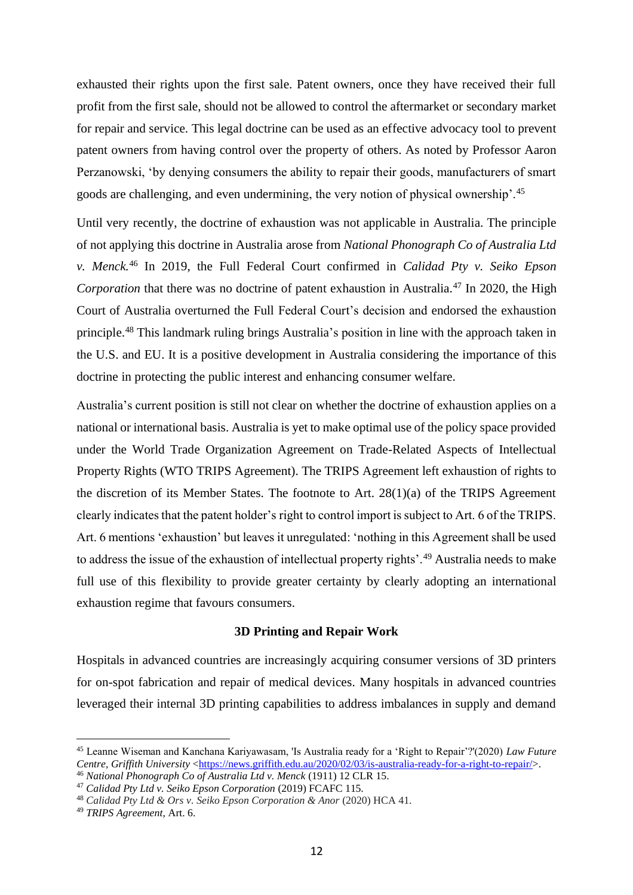exhausted their rights upon the first sale. Patent owners, once they have received their full profit from the first sale, should not be allowed to control the aftermarket or secondary market for repair and service. This legal doctrine can be used as an effective advocacy tool to prevent patent owners from having control over the property of others. As noted by Professor Aaron Perzanowski, 'by denying consumers the ability to repair their goods, manufacturers of smart goods are challenging, and even undermining, the very notion of physical ownership'.<sup>45</sup>

Until very recently, the doctrine of exhaustion was not applicable in Australia. The principle of not applying this doctrine in Australia arose from *National Phonograph Co of Australia Ltd v. Menck.*<sup>46</sup> In 2019, the Full Federal Court confirmed in *Calidad Pty v. Seiko Epson Corporation* that there was no doctrine of patent exhaustion in Australia.<sup>47</sup> In 2020, the High Court of Australia overturned the Full Federal Court's decision and endorsed the exhaustion principle.<sup>48</sup> This landmark ruling brings Australia's position in line with the approach taken in the U.S. and EU. It is a positive development in Australia considering the importance of this doctrine in protecting the public interest and enhancing consumer welfare.

Australia's current position is still not clear on whether the doctrine of exhaustion applies on a national or international basis. Australia is yet to make optimal use of the policy space provided under the World Trade Organization Agreement on Trade-Related Aspects of Intellectual Property Rights (WTO TRIPS Agreement). The TRIPS Agreement left exhaustion of rights to the discretion of its Member States. The footnote to Art. 28(1)(a) of the TRIPS Agreement clearly indicates that the patent holder's right to control import is subject to Art. 6 of the TRIPS. Art. 6 mentions 'exhaustion' but leaves it unregulated: 'nothing in this Agreement shall be used to address the issue of the exhaustion of intellectual property rights'.<sup>49</sup> Australia needs to make full use of this flexibility to provide greater certainty by clearly adopting an international exhaustion regime that favours consumers.

### **3D Printing and Repair Work**

Hospitals in advanced countries are increasingly acquiring consumer versions of 3D printers for on-spot fabrication and repair of medical devices. Many hospitals in advanced countries leveraged their internal 3D printing capabilities to address imbalances in supply and demand

<sup>45</sup> Leanne Wiseman and Kanchana Kariyawasam, 'Is Australia ready for a 'Right to Repair'?'(2020) *Law Future Centre, Griffith University* [<https://news.griffith.edu.au/2020/02/03/is-australia-ready-for-a-right-to-repair/>](https://news.griffith.edu.au/2020/02/03/is-australia-ready-for-a-right-to-repair/). <sup>46</sup> *National Phonograph Co of Australia Ltd v. Menck* (1911) 12 CLR 15.

<sup>47</sup> *Calidad Pty Ltd v. Seiko Epson Corporation* (2019) FCAFC 115.

<sup>48</sup> *Calidad Pty Ltd & Ors v. Seiko Epson Corporation & Anor* (2020) HCA 41.

<sup>49</sup> *TRIPS Agreement*, Art. 6.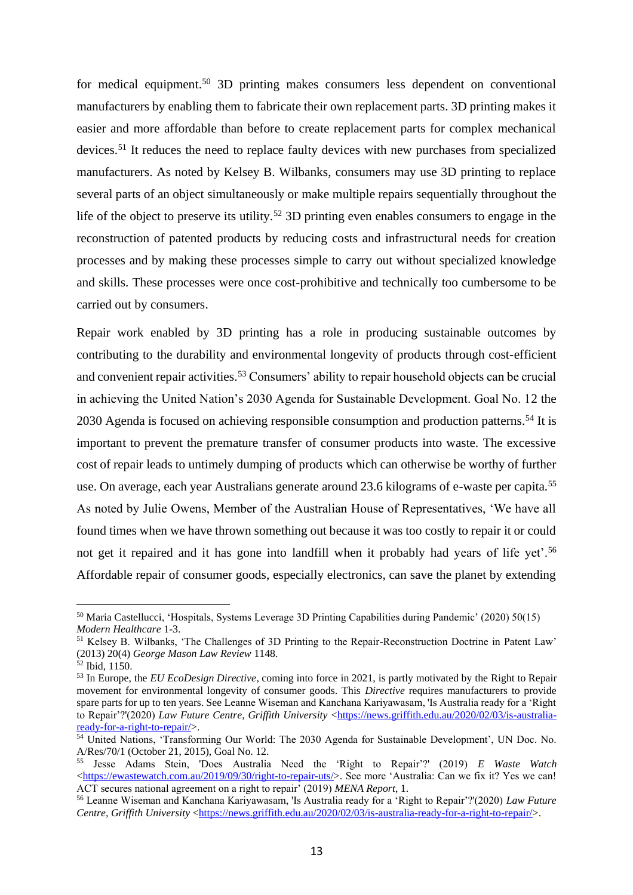for medical equipment.<sup>50</sup> 3D printing makes consumers less dependent on conventional manufacturers by enabling them to fabricate their own replacement parts. 3D printing makes it easier and more affordable than before to create replacement parts for complex mechanical devices.<sup>51</sup> It reduces the need to replace faulty devices with new purchases from specialized manufacturers. As noted by Kelsey B. Wilbanks, consumers may use 3D printing to replace several parts of an object simultaneously or make multiple repairs sequentially throughout the life of the object to preserve its utility.<sup>52</sup> 3D printing even enables consumers to engage in the reconstruction of patented products by reducing costs and infrastructural needs for creation processes and by making these processes simple to carry out without specialized knowledge and skills. These processes were once cost-prohibitive and technically too cumbersome to be carried out by consumers.

Repair work enabled by 3D printing has a role in producing sustainable outcomes by contributing to the durability and environmental longevity of products through cost-efficient and convenient repair activities.<sup>53</sup> Consumers' ability to repair household objects can be crucial in achieving the United Nation's 2030 Agenda for Sustainable Development. Goal No. 12 the 2030 Agenda is focused on achieving responsible consumption and production patterns.<sup>54</sup> It is important to prevent the premature transfer of consumer products into waste. The excessive cost of repair leads to untimely dumping of products which can otherwise be worthy of further use. On average, each year Australians generate around 23.6 kilograms of e-waste per capita.<sup>55</sup> As noted by Julie Owens, Member of the Australian House of Representatives, 'We have all found times when we have thrown something out because it was too costly to repair it or could not get it repaired and it has gone into landfill when it probably had years of life yet'.<sup>56</sup> Affordable repair of consumer goods, especially electronics, can save the planet by extending

<sup>50</sup> Maria Castellucci, 'Hospitals, Systems Leverage 3D Printing Capabilities during Pandemic' (2020) 50(15) *Modern Healthcare* 1-3.

<sup>51</sup> Kelsey B. Wilbanks, 'The Challenges of 3D Printing to the Repair-Reconstruction Doctrine in Patent Law' (2013) 20(4) *George Mason Law Review* 1148.

<sup>52</sup> Ibid, 1150.

<sup>53</sup> In Europe, the *EU EcoDesign Directive*, coming into force in 2021, is partly motivated by the Right to Repair movement for environmental longevity of consumer goods. This *Directive* requires manufacturers to provide spare parts for up to ten years. See Leanne Wiseman and Kanchana Kariyawasam, 'Is Australia ready for a 'Right to Repair'?'(2020) *Law Future Centre, Griffith University* [<https://news.griffith.edu.au/2020/02/03/is-australia](https://news.griffith.edu.au/2020/02/03/is-australia-ready-for-a-right-to-repair/)[ready-for-a-right-to-repair/>](https://news.griffith.edu.au/2020/02/03/is-australia-ready-for-a-right-to-repair/).

<sup>54</sup> United Nations, 'Transforming Our World: The 2030 Agenda for Sustainable Development', UN Doc. No. A/Res/70/1 (October 21, 2015), Goal No. 12.

<sup>55</sup> Jesse Adams Stein, 'Does Australia Need the 'Right to Repair'?' (2019) *E Waste Watch* [<https://ewastewatch.com.au/2019/09/30/right-to-repair-uts/>](https://ewastewatch.com.au/2019/09/30/right-to-repair-uts/). See more 'Australia: Can we fix it? Yes we can! ACT secures national agreement on a right to repair' (2019) *MENA Report*, 1.

<sup>56</sup> Leanne Wiseman and Kanchana Kariyawasam, 'Is Australia ready for a 'Right to Repair'?'(2020) *Law Future Centre, Griffith University* [<https://news.griffith.edu.au/2020/02/03/is-australia-ready-for-a-right-to-repair/>](https://news.griffith.edu.au/2020/02/03/is-australia-ready-for-a-right-to-repair/).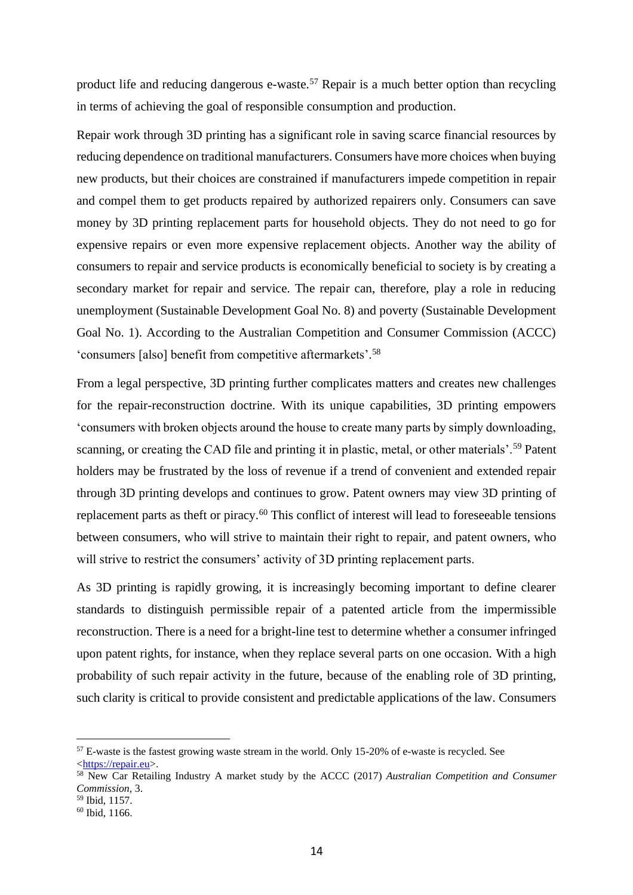product life and reducing dangerous e-waste.<sup>57</sup> Repair is a much better option than recycling in terms of achieving the goal of responsible consumption and production.

Repair work through 3D printing has a significant role in saving scarce financial resources by reducing dependence on traditional manufacturers. Consumers have more choices when buying new products, but their choices are constrained if manufacturers impede competition in repair and compel them to get products repaired by authorized repairers only. Consumers can save money by 3D printing replacement parts for household objects. They do not need to go for expensive repairs or even more expensive replacement objects. Another way the ability of consumers to repair and service products is economically beneficial to society is by creating a secondary market for repair and service. The repair can, therefore, play a role in reducing unemployment (Sustainable Development Goal No. 8) and poverty (Sustainable Development Goal No. 1). According to the Australian Competition and Consumer Commission (ACCC) 'consumers [also] benefit from competitive aftermarkets'.<sup>58</sup>

From a legal perspective, 3D printing further complicates matters and creates new challenges for the repair-reconstruction doctrine. With its unique capabilities, 3D printing empowers 'consumers with broken objects around the house to create many parts by simply downloading, scanning, or creating the CAD file and printing it in plastic, metal, or other materials'.<sup>59</sup> Patent holders may be frustrated by the loss of revenue if a trend of convenient and extended repair through 3D printing develops and continues to grow. Patent owners may view 3D printing of replacement parts as theft or piracy.<sup>60</sup> This conflict of interest will lead to foreseeable tensions between consumers, who will strive to maintain their right to repair, and patent owners, who will strive to restrict the consumers' activity of 3D printing replacement parts.

As 3D printing is rapidly growing, it is increasingly becoming important to define clearer standards to distinguish permissible repair of a patented article from the impermissible reconstruction. There is a need for a bright-line test to determine whether a consumer infringed upon patent rights, for instance, when they replace several parts on one occasion. With a high probability of such repair activity in the future, because of the enabling role of 3D printing, such clarity is critical to provide consistent and predictable applications of the law. Consumers

<sup>57</sup> E-waste is the fastest growing waste stream in the world. Only 15-20% of e-waste is recycled. See [<https://repair.eu>](https://repair.eu/).

<sup>58</sup> New Car Retailing Industry A market study by the ACCC (2017) *Australian Competition and Consumer Commission,* 3.

<sup>59</sup> Ibid, 1157.

<sup>60</sup> Ibid, 1166.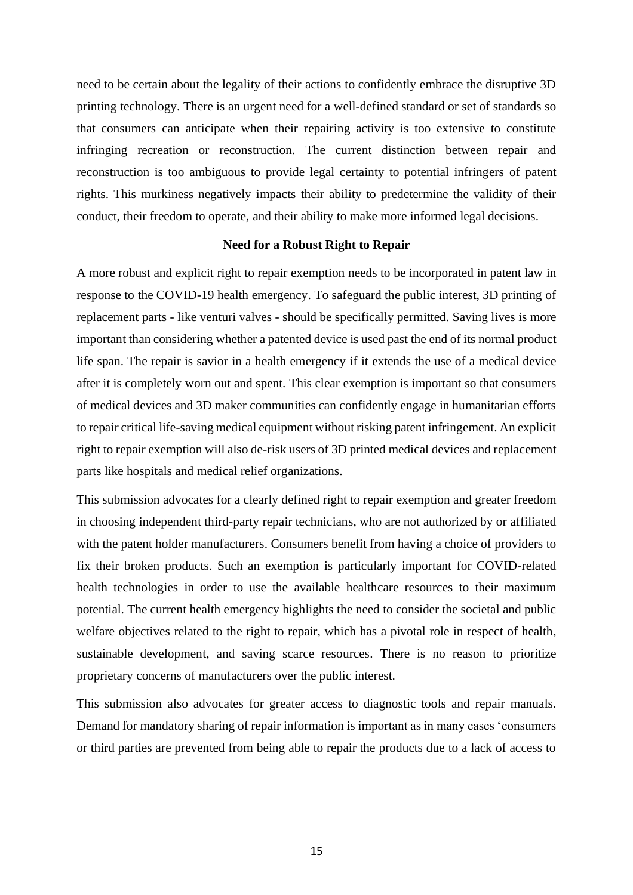need to be certain about the legality of their actions to confidently embrace the disruptive 3D printing technology. There is an urgent need for a well-defined standard or set of standards so that consumers can anticipate when their repairing activity is too extensive to constitute infringing recreation or reconstruction. The current distinction between repair and reconstruction is too ambiguous to provide legal certainty to potential infringers of patent rights. This murkiness negatively impacts their ability to predetermine the validity of their conduct, their freedom to operate, and their ability to make more informed legal decisions.

#### **Need for a Robust Right to Repair**

A more robust and explicit right to repair exemption needs to be incorporated in patent law in response to the COVID-19 health emergency. To safeguard the public interest, 3D printing of replacement parts - like venturi valves - should be specifically permitted. Saving lives is more important than considering whether a patented device is used past the end of its normal product life span. The repair is savior in a health emergency if it extends the use of a medical device after it is completely worn out and spent. This clear exemption is important so that consumers of medical devices and 3D maker communities can confidently engage in humanitarian efforts to repair critical life-saving medical equipment without risking patent infringement. An explicit right to repair exemption will also de-risk users of 3D printed medical devices and replacement parts like hospitals and medical relief organizations.

This submission advocates for a clearly defined right to repair exemption and greater freedom in choosing independent third-party repair technicians, who are not authorized by or affiliated with the patent holder manufacturers. Consumers benefit from having a choice of providers to fix their broken products. Such an exemption is particularly important for COVID-related health technologies in order to use the available healthcare resources to their maximum potential. The current health emergency highlights the need to consider the societal and public welfare objectives related to the right to repair, which has a pivotal role in respect of health, sustainable development, and saving scarce resources. There is no reason to prioritize proprietary concerns of manufacturers over the public interest.

This submission also advocates for greater access to diagnostic tools and repair manuals. Demand for mandatory sharing of repair information is important as in many cases 'consumers or third parties are prevented from being able to repair the products due to a lack of access to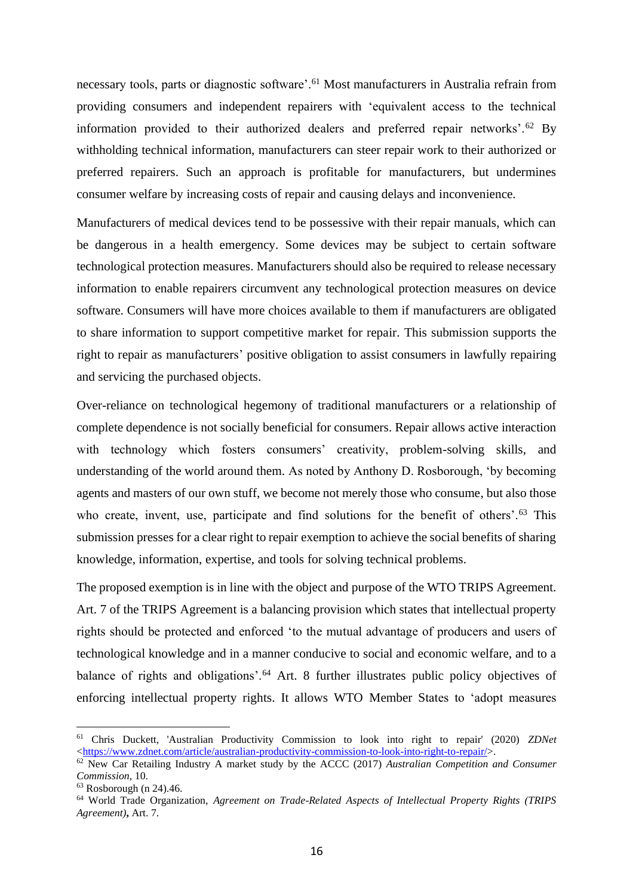necessary tools, parts or diagnostic software'.<sup>61</sup> Most manufacturers in Australia refrain from providing consumers and independent repairers with 'equivalent access to the technical information provided to their authorized dealers and preferred repair networks'.<sup>62</sup> By withholding technical information, manufacturers can steer repair work to their authorized or preferred repairers. Such an approach is profitable for manufacturers, but undermines consumer welfare by increasing costs of repair and causing delays and inconvenience.

Manufacturers of medical devices tend to be possessive with their repair manuals, which can be dangerous in a health emergency. Some devices may be subject to certain software technological protection measures. Manufacturers should also be required to release necessary information to enable repairers circumvent any technological protection measures on device software. Consumers will have more choices available to them if manufacturers are obligated to share information to support competitive market for repair. This submission supports the right to repair as manufacturers' positive obligation to assist consumers in lawfully repairing and servicing the purchased objects.

Over-reliance on technological hegemony of traditional manufacturers or a relationship of complete dependence is not socially beneficial for consumers. Repair allows active interaction with technology which fosters consumers' creativity, problem-solving skills, and understanding of the world around them. As noted by Anthony D. Rosborough, 'by becoming agents and masters of our own stuff, we become not merely those who consume, but also those who create, invent, use, participate and find solutions for the benefit of others'.<sup>63</sup> This submission presses for a clear right to repair exemption to achieve the social benefits of sharing knowledge, information, expertise, and tools for solving technical problems.

The proposed exemption is in line with the object and purpose of the WTO TRIPS Agreement. Art. 7 of the TRIPS Agreement is a balancing provision which states that intellectual property rights should be protected and enforced 'to the mutual advantage of producers and users of technological knowledge and in a manner conducive to social and economic welfare, and to a balance of rights and obligations'.<sup>64</sup> Art. 8 further illustrates public policy objectives of enforcing intellectual property rights. It allows WTO Member States to 'adopt measures

<sup>61</sup> Chris Duckett, 'Australian Productivity Commission to look into right to repair' (2020) *ZDNet*  [<https://www.zdnet.com/article/australian-productivity-commission-to-look-into-right-to-repair/>](https://www.zdnet.com/article/australian-productivity-commission-to-look-into-right-to-repair/).

<sup>62</sup> New Car Retailing Industry A market study by the ACCC (2017) *Australian Competition and Consumer Commission,* 10.

 $63$  Rosborough (n 24).46.

<sup>64</sup> World Trade Organization, *Agreement on Trade-Related Aspects of Intellectual Property Rights (TRIPS Agreement)***,** Art. 7.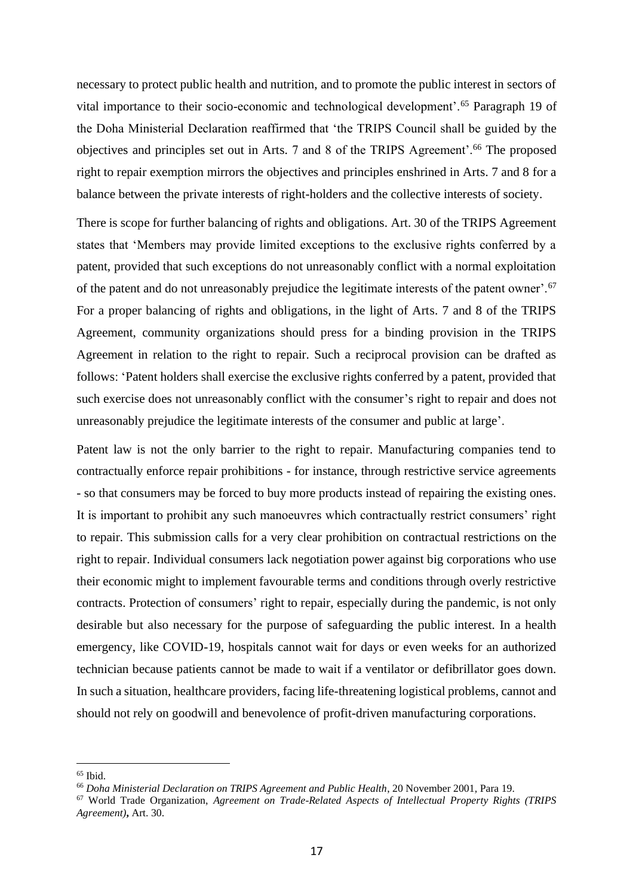necessary to protect public health and nutrition, and to promote the public interest in sectors of vital importance to their socio-economic and technological development'.<sup>65</sup> Paragraph 19 of the Doha Ministerial Declaration reaffirmed that 'the TRIPS Council shall be guided by the objectives and principles set out in Arts. 7 and 8 of the TRIPS Agreement'.<sup>66</sup> The proposed right to repair exemption mirrors the objectives and principles enshrined in Arts. 7 and 8 for a balance between the private interests of right-holders and the collective interests of society.

There is scope for further balancing of rights and obligations. Art. 30 of the TRIPS Agreement states that 'Members may provide limited exceptions to the exclusive rights conferred by a patent, provided that such exceptions do not unreasonably conflict with a normal exploitation of the patent and do not unreasonably prejudice the legitimate interests of the patent owner'.<sup>67</sup> For a proper balancing of rights and obligations, in the light of Arts. 7 and 8 of the TRIPS Agreement, community organizations should press for a binding provision in the TRIPS Agreement in relation to the right to repair. Such a reciprocal provision can be drafted as follows: 'Patent holders shall exercise the exclusive rights conferred by a patent, provided that such exercise does not unreasonably conflict with the consumer's right to repair and does not unreasonably prejudice the legitimate interests of the consumer and public at large'.

Patent law is not the only barrier to the right to repair. Manufacturing companies tend to contractually enforce repair prohibitions - for instance, through restrictive service agreements - so that consumers may be forced to buy more products instead of repairing the existing ones. It is important to prohibit any such manoeuvres which contractually restrict consumers' right to repair. This submission calls for a very clear prohibition on contractual restrictions on the right to repair. Individual consumers lack negotiation power against big corporations who use their economic might to implement favourable terms and conditions through overly restrictive contracts. Protection of consumers' right to repair, especially during the pandemic, is not only desirable but also necessary for the purpose of safeguarding the public interest. In a health emergency, like COVID-19, hospitals cannot wait for days or even weeks for an authorized technician because patients cannot be made to wait if a ventilator or defibrillator goes down. In such a situation, healthcare providers, facing life-threatening logistical problems, cannot and should not rely on goodwill and benevolence of profit-driven manufacturing corporations.

 $65$  Ibid.

<sup>66</sup> *Doha Ministerial Declaration on TRIPS Agreement and Public Health*, 20 November 2001*,* Para 19.

<sup>67</sup> World Trade Organization, *Agreement on Trade-Related Aspects of Intellectual Property Rights (TRIPS Agreement)***,** Art. 30.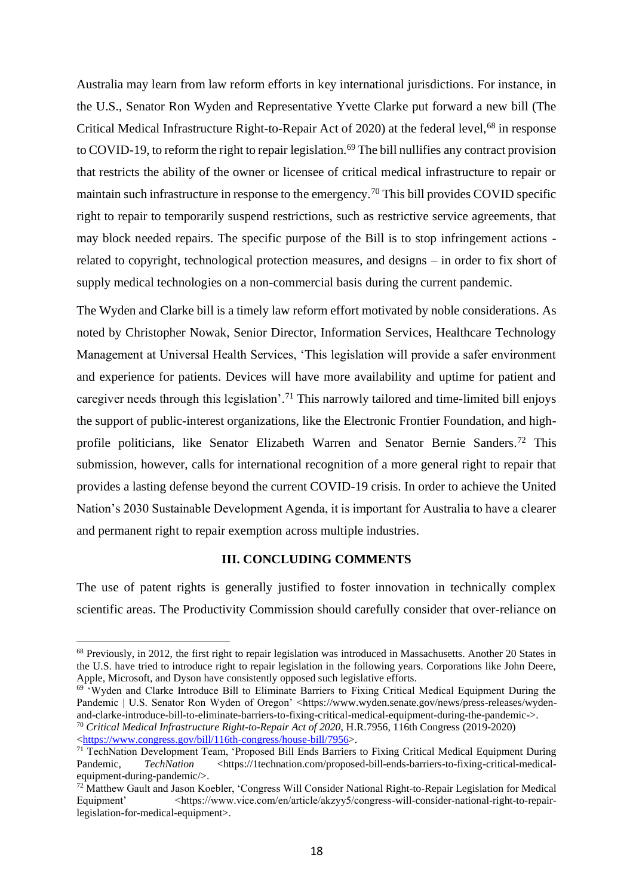Australia may learn from law reform efforts in key international jurisdictions. For instance, in the U.S., Senator Ron Wyden and Representative Yvette Clarke put forward a new bill (The Critical Medical Infrastructure Right-to-Repair Act of 2020) at the federal level,<sup>68</sup> in response to COVID-19, to reform the right to repair legislation.<sup>69</sup> The bill nullifies any contract provision that restricts the ability of the owner or licensee of critical medical infrastructure to repair or maintain such infrastructure in response to the emergency.<sup>70</sup> This bill provides COVID specific right to repair to temporarily suspend restrictions, such as restrictive service agreements, that may block needed repairs. The specific purpose of the Bill is to stop infringement actions related to copyright, technological protection measures, and designs – in order to fix short of supply medical technologies on a non-commercial basis during the current pandemic.

The Wyden and Clarke bill is a timely law reform effort motivated by noble considerations. As noted by Christopher Nowak, Senior Director, Information Services, Healthcare Technology Management at Universal Health Services, 'This legislation will provide a safer environment and experience for patients. Devices will have more availability and uptime for patient and caregiver needs through this legislation'.<sup>71</sup> This narrowly tailored and time-limited bill enjoys the support of public-interest organizations, like the Electronic Frontier Foundation, and highprofile politicians, like Senator Elizabeth Warren and Senator Bernie Sanders.<sup>72</sup> This submission, however, calls for international recognition of a more general right to repair that provides a lasting defense beyond the current COVID-19 crisis. In order to achieve the United Nation's 2030 Sustainable Development Agenda, it is important for Australia to have a clearer and permanent right to repair exemption across multiple industries.

# **III. CONCLUDING COMMENTS**

The use of patent rights is generally justified to foster innovation in technically complex scientific areas. The Productivity Commission should carefully consider that over-reliance on

<sup>68</sup> Previously, in 2012, the first right to repair legislation was introduced in Massachusetts. Another 20 States in the U.S. have tried to introduce right to repair legislation in the following years. Corporations like John Deere, Apple, Microsoft, and Dyson have consistently opposed such legislative efforts.

<sup>&</sup>lt;sup>69 '</sup>Wyden and Clarke Introduce Bill to Eliminate Barriers to Fixing Critical Medical Equipment During the Pandemic | U.S. Senator Ron Wyden of Oregon' <https://www.wyden.senate.gov/news/press-releases/wydenand-clarke-introduce-bill-to-eliminate-barriers-to-fixing-critical-medical-equipment-during-the-pandemic->. <sup>70</sup> *Critical Medical Infrastructure Right-to-Repair Act of 2020*, H.R.7956, 116th Congress (2019-2020) [<https://www.congress.gov/bill/116th-congress/house-bill/7956>](https://www.congress.gov/bill/116th-congress/house-bill/7956).

<sup>&</sup>lt;sup>71</sup> TechNation Development Team, 'Proposed Bill Ends Barriers to Fixing Critical Medical Equipment During Pandemic, *TechNation* <https://1technation.com/proposed-bill-ends-barriers-to-fixing-critical-medicalequipment-during-pandemic/>.

<sup>&</sup>lt;sup>72</sup> Matthew Gault and Jason Koebler, 'Congress Will Consider National Right-to-Repair Legislation for Medical Equipment' <https://www.vice.com/en/article/akzyy5/congress-will-consider-national-right-to-repairlegislation-for-medical-equipment>.